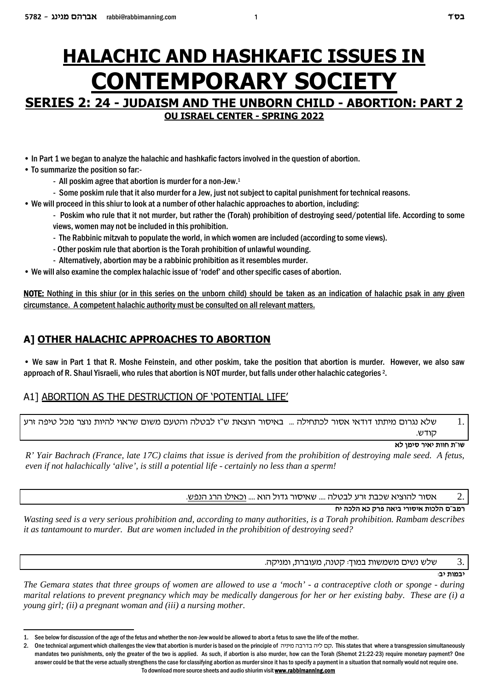# **HALACHIC AND HASHKAFIC ISSUES IN CONTEMPORARY SOCIETY SERIES 2: 24 - JUDAISM AND THE UNBORN CHILD - ABORTION: PART 2**

**OU ISRAEL CENTER - SPRING 2022**

• In Part 1 we began to analyze the halachic and hashkafic factors involved in the question of abortion.

- To summarize the position so far:-
	- All poskim agree that abortion is murder for a non-Jew.<sup>1</sup>
	- Some poskim rule that it also murder for a Jew, just not subject to capital punishment for technical reasons.
- We will proceed in this shiur to look at a number of other halachic approaches to abortion, including:
	- Poskim who rule that it not murder, but rather the (Torah) prohibition of destroying seed/potential life. According to some views, women may not be included in this prohibition.
	- The Rabbinic mitzvah to populate the world, in which women are included (according to some views).
	- Other poskim rule that abortion is the Torah prohibition of unlawful wounding.
	- Alternatively, abortion may be a rabbinic prohibition as it resembles murder.
- We will also examine the complex halachic issue of 'rodef' and other specific cases of abortion.

**NOTE:** Nothing in this shiur (or in this series on the unborn child) should be taken as an indication of halachic psak in any given circumstance. A competent halachic authority must be consulted on all relevant matters.

### **A] OTHER HALACHIC APPROACHES TO ABORTION**

• We saw in Part 1 that R. Moshe Feinstein, and other poskim, take the position that abortion is murder. However, we also saw approach of R. Shaul Yisraeli, who rules that abortion is NOT murder, but falls under other halachic categories <sup>2</sup>.

### A1] ABORTION AS THE DESTRUCTION OF 'POTENTIAL LIFE'

שלא נגרום מיתתו דודאי אסור לכתחילה ... באיסור הוצאת ש"ז לבטלה והטעם משום שראוי להיות נוצר מכל טיפה זרע ...  $1.$ .קודש

**`l oniq xi`i zeeg z"ey**

*R' Yair Bachrach (France, late 17C) claims that issue is derived from the prohibition of destroying male seed. A fetus, even if not halachically 'alive', is still a potential life - certainly no less than a sperm!* 

.מעור להוציא שכבת זרע לבטלה .... שאיסור גדול הוא .... וכאילו הרג הנפש  $2. \,$ 

#### **gi dkld `k wxt d`ia ixeqi` zekld m"anx**

*Wasting seed is a very serious prohibition and, according to many authorities, is a Torah prohibition. Rambam describes it as tantamount to murder. But are women included in the prohibition of destroying seed?*

שלש נשים משמשות במוך: קטנה, מעוברת, ומניקה.  $3.$ 

**יבמות יב**:

*The Gemara states that three groups of women are allowed to use a 'moch' - a contraceptive cloth or sponge - during marital relations to prevent pregnancy which may be medically dangerous for her or her existing baby. These are (i) a young girl; (ii) a pregnant woman and (iii) a nursing mother.*

<sup>1.</sup> See below for discussion of the age of the fetus and whether the non-Jew would be allowed to abort a fetus to save the life of the mother.

<sup>2.</sup> One technical argument which challenges the view that abortion is murder is based on the principle of קס ליה בדרבה מיניה, This states that where a transgression simultaneously mandates two punishments, only the greater of the two is applied. As such, if abortion is also murder, how can the Torah (Shemot 21:22-23) require monetary payment? One answer could be that the verse actually strengthens the case for classifying abortion as murder since it has to specify a payment in a situation that normally would not require one. To download more source sheets and audio shiurim visit **www.rabbimanning.com**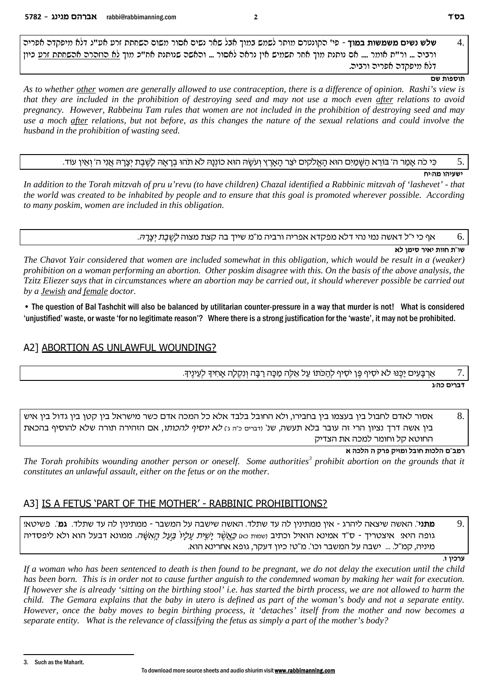שלש נשים משמשות במוך - פי' הקונטרס מותר לשמש במוך אבל שאר נשים אסור משום השחתת זרע אט"ג דלא מיפקדה אפריה  $\overline{4}$ ורביה … ור"ת אומר …. אם נותנת מוך אחר תשמיש אין נראה לאסור … והאשה שנותנת אח"כ מוך לא הוזהרה אהשחתת זרע כיון דלא מיפקדה אפריה ורביה.

#### תוספות שם

ושעיהו מה:יח

As to whether other women are generally allowed to use contraception, there is a difference of opinion. Rashi's view is that they are included in the prohibition of destroying seed and may not use a moch even after relations to avoid pregnancy. However, Rabbeinu Tam rules that women are not included in the prohibition of destroying seed and may use a moch after relations, but not before, as this changes the nature of the sexual relations and could involve the husband in the prohibition of wasting seed.

כִּי כֹה אָמַר ה' בּוֹרֵא הַשֶּׁמַיִּם הוּא הַאֱלֹקִים יֹצֶר הַאָרֶץ וְעֹשֶׂה הוּא כוֹוְנַהּ לֹא תֹהוּ בְרָאָהּ לַשֶׁבֶת יִצְרָהּ אֲוִי ה' וְאִין עוֹד. 5.

In addition to the Torah mitzvah of pru u'revu (to have children) Chazal identified a Rabbinic mitzvah of 'lashevet' - that the world was created to be inhabited by people and to ensure that this goal is promoted wherever possible. According to many poskim, women are included in this obligation.

> אף כי י"ל דאשה נמי נהי דלא מפקדא אפריה ורביה מ"מ שייך בה קצת מצוה *לָשֶׁבֶת יְצָרָהּ*. 6.

> > שו"ת חוות יאיר סימן לא

The Chavot Yair considered that women are included somewhat in this obligation, which would be result in a (weaker) prohibition on a woman performing an abortion. Other poskim disagree with this. On the basis of the above analysis, the Tzitz Eliezer says that in circumstances where an abortion may be carried out, it should wherever possible be carried out by a **Jewish** and female doctor.

• The question of Bal Tashchit will also be balanced by utilitarian counter-pressure in a way that murder is not! What is considered 'unjustified' waste, or waste 'for no legitimate reason'? Where there is a strong justification for the 'waste', it may not be prohibited.

#### A2] ABORTION AS UNLAWFUL WOUNDING?

אַרְבַּעִים יַכֵּנוּ לֹא יֹסִיף פֵּן יֹסִיף לְהַכֹּתוּ עַל אֱלֶה מַכָּה רַבַּה וְנִקְלַה אַחִיךָ לְעֵינֵיךָ. 7

'ברים כה:ג

אסור לאדם לחבול בין בעצמו בין בחבירו, ולא החובל בלבד אלא כל המכה אדם כשר מישראל בין קטן בין גדול בין איש 8. בין אשה דרך נציון הרי זה עובר בלא תעשה. שנ' ודברים כ"ה ג׳) *לא יוסיף להכותו*, אם הזהירה תורה שלא להוסיף בהכאת החוטא קל וחומר למכה את הצדיק

רמב"ם הלכות חובל ומזיק פרק ה הלכה א

The Torah prohibits wounding another person or oneself. Some authorities<sup>3</sup> prohibit abortion on the grounds that it constitutes an unlawful assault, either on the fetus or on the mother.

### A31 IS A FETUS 'PART OF THE MOTHER' - RABBINIC PROHIBITIONS?

9. **מתני**'. האשה שיצאה ליהרג - אין ממתינין לה עד שתלד. האשה שישבה על המשבר - ממתינין לה עד שתלד. **גמ**'. פשיטא! גופה היא! איצטריך - ס"ד אמינא הואיל וכתיב ושמות כא) *כֵּאֲשֶׁר יַשֶׁית עֲלֵיו*´ *בֵּעָל הֵאֲשֶׂה.* ממונא דבעל הוא ולא ליפסדיה מיניה, קמ"ל. ... ישבה על המשבר וכו'. מ"טי כיון דעקר, גופא אחרינא הוא.

ערכיו ז.

If a woman who has been sentenced to death is then found to be pregnant, we do not delay the execution until the child has been born. This is in order not to cause further anguish to the condemned woman by making her wait for execution. If however she is already 'sitting on the birthing stool' i.e. has started the birth process, we are not allowed to harm the child. The Gemara explains that the baby in utero is defined as part of the woman's body and not a separate entity. However, once the baby moves to begin birthing process, it 'detaches' itself from the mother and now becomes a separate entity. What is the relevance of classifying the fetus as simply a part of the mother's body?

 $\mathbf{a}$ Such as the Maharit.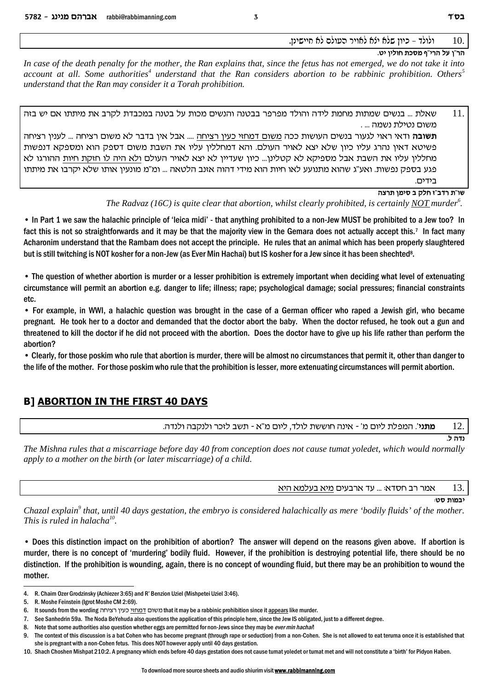#### ולולד – כיון שלא ילא לאויר העולם לא חיישינן. 10.

#### הר"ו על הרי"ף מסכת חוליו יט.

In case of the death penalty for the mother, the Ran explains that, since the fetus has not emerged, we do not take it into account at all. Some authorities<sup>4</sup> understand that the Ran considers abortion to be rabbinic prohibition. Others<sup>5</sup> understand that the Ran may consider it a Torah prohibition.

| שאלת … בנשים שמתות מחמת לידה והולד מפרפר בבטנה והנשים מכות על בטנה במכבדת לקרב את מיתתו אם יש בזה            | 11. |
|--------------------------------------------------------------------------------------------------------------|-----|
| משום נטילת נשמה  .                                                                                           |     |
| <b>תשובה</b> ודאי ראוי לגעור בנשים העושות ככה משום דמחזי כעין רציחה  אבל אין בדבר לא משום רציחה  לענין רציחה |     |
| פשיטא דאין נהרג עליו כיון שלא יצא לאויר העולם. והא דמחללין עליו את השבת משום דספק הוא ומספקא דנפשות          |     |
| מחללין עליו את השבת אבל מספיקא לא קטלינן כיון שעדיין לא יצא לאויר העולם ולא היה לו חזקת חיות ההורגו לא       |     |
| פגע בספק נפשות. ואע"ג שהוא מתנועע לאו חיות הוא מידי דהוה אזנב הלטאה  ומ"מ מונעין אותו שלא יקרבו את מיתתו     |     |
| בידים.                                                                                                       |     |

#### שו"ת רדב"ז חלק ב סימן תרצה

The Radvaz (16C) is quite clear that abortion, whilst clearly prohibited, is certainly NOT murder<sup>6</sup>.

• In Part 1 we saw the halachic principle of 'leica midi' - that anything prohibited to a non-Jew MUST be prohibited to a Jew too? In fact this is not so straightforwards and it may be that the majority view in the Gemara does not actually accept this.<sup>7</sup> In fact many Acharonim understand that the Rambam does not accept the principle. He rules that an animal which has been properly slaughtered but is still twitching is NOT kosher for a non-Jew (as Ever Min Hachai) but IS kosher for a Jew since it has been shechted<sup>8</sup>.

• The question of whether abortion is murder or a lesser prohibition is extremely important when deciding what level of extenuating circumstance will permit an abortion e.g. danger to life; illness; rape; psychological damage; social pressures; financial constraints etc.

• For example, in WWI, a halachic question was brought in the case of a German officer who raped a Jewish girl, who became pregnant. He took her to a doctor and demanded that the doctor abort the baby. When the doctor refused, he took out a gun and threatened to kill the doctor if he did not proceed with the abortion. Does the doctor have to give up his life rather than perform the abortion?

• Clearly, for those poskim who rule that abortion is murder, there will be almost no circumstances that permit it, other than danger to the life of the mother. For those poskim who rule that the prohibition is lesser, more extenuating circumstances will permit abortion.

### **B1 ABORTION IN THE FIRST 40 DAYS**

**מתני**'. המפלת ליום מ' - אינה חוששת לולד, ליום מ"א - תשב לזכר ולנקבה ולנדה. 12

The Mishna rules that a miscarriage before day 40 from conception does not cause tumat yoledet, which would normally apply to a mother on the birth (or later miscarriage) of a child.

> 13. אמר רב חסדא: ... עד ארבעים מיא בעלמא היא

> > יבמות סט:

 $5.541$ 

Chazal explain<sup>9</sup> that, until 40 days gestation, the embryo is considered halachically as mere 'bodily fluids' of the mother. This is ruled in halacha $^{10}$ .

• Does this distinction impact on the prohibition of abortion? The answer will depend on the reasons given above. If abortion is murder, there is no concept of 'murdering' bodily fluid. However, if the prohibition is destroying potential life, there should be no distinction. If the prohibition is wounding, again, there is no concept of wounding fluid, but there may be an prohibition to wound the mother.

<sup>4.</sup> R. Chaim Ozer Grodzinsky (Achiezer 3:65) and R' Benzion Uziel (Mishpetei Uziel 3:46).

<sup>5.</sup> R. Moshe Feinstein (Igrot Moshe CM 2:69).

<sup>6.</sup> It sounds from the wording משום <u>דמח</u> וצלחה that it may be a rabbinic prohibition since it appears like murder.

<sup>7.</sup> See Sanhedrin 59a. The Noda BeYehuda also questions the application of this principle here, since the Jew IS obligated, just to a different degree.

<sup>8.</sup> Note that some authorities also question whether eggs are permitted for non-Jews since they may be ever min hachal!

<sup>9.</sup> The context of this discussion is a bat Cohen who has become pregnant (through rape or seduction) from a non-Cohen. She is not allowed to eat teruma once it is established that she is pregnant with a non-Cohen fetus. This does NOT however apply until 40 days gestation.

<sup>10.</sup> Shach Choshen Mishpat 210:2. A pregnancy which ends before 40 days gestation does not cause tumat yoledet or tumat met and will not constitute a 'birth' for Pidyon Haben.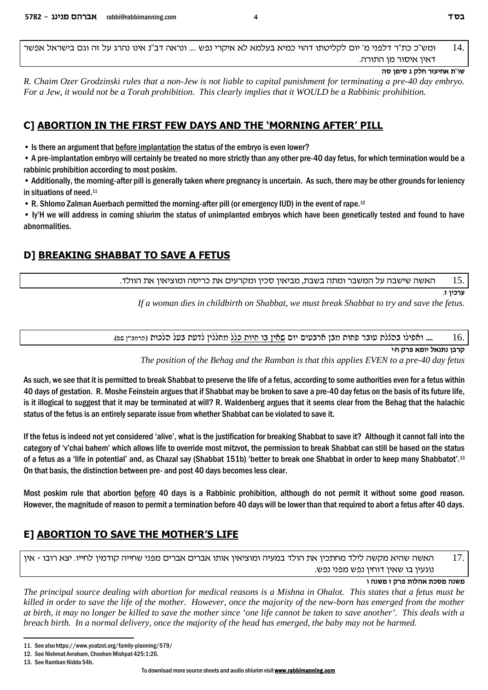ומש"כ כת"ר דלפני מ' יום לקליטתו דהוי כמיא בעלמא לא איקרי נפש .... ונראה דב"נ אינו נהרג על זה וגם בישראל אפשר 14. דאיו איסור מו התורה.

R. Chaim Ozer Grodzinski rules that a non-Jew is not liable to capital punishment for terminating a pre-40 day embryo. For a Jew, it would not be a Torah prohibition. This clearly implies that it WOULD be a Rabbinic prohibition.

### C] ABORTION IN THE FIRST FEW DAYS AND THE 'MORNING AFTER' PILL

• Is there an argument that before implantation the status of the embryo is even lower?

• A pre-implantation embryo will certainly be treated no more strictly than any other pre-40 day fetus, for which termination would be a rabbinic prohibition according to most poskim.

• Additionally, the morning-after pill is generally taken where pregnancy is uncertain. As such, there may be other grounds for leniency in situations of need.<sup>11</sup>

• R. Shlomo Zalman Auerbach permitted the morning-after pill (or emergency IUD) in the event of rape.<sup>12</sup>

• ly'H we will address in coming shiurim the status of unimplanted embryos which have been genetically tested and found to have abnormalities.

## **D1 BREAKING SHABBAT TO SAVE A FETUS**

האשה שישבה על המשבר ומתה בשבת, מביאין סכין ומקרעים את כריסה ומוציאין את הוולד. 15.

ערכיו ז.

If a woman dies in childbirth on Shabbat, we must break Shabbat to try and save the fetus.

.... ואפילו ברגלת עובר פחות מבן ארבעים יום שאין בו חיות כלל מחללין לדעת בעל הלכות (הרמב"ן שם). 16.

קרבן נתנאל יומא פרק ח:י

The position of the Behag and the Ramban is that this applies EVEN to a pre-40 day fetus

As such, we see that it is permitted to break Shabbat to preserve the life of a fetus, according to some authorities even for a fetus within 40 days of gestation. R. Moshe Feinstein argues that if Shabbat may be broken to save a pre-40 day fetus on the basis of its future life, is it illogical to suggest that it may be terminated at will? R. Waldenberg argues that it seems clear from the Behag that the halachic status of the fetus is an entirely separate issue from whether Shabbat can be violated to save it.

If the fetus is indeed not yet considered 'alive', what is the justification for breaking Shabbat to save it? Although it cannot fall into the category of 'y'chai bahem' which allows life to override most mitzvot, the permission to break Shabbat can still be based on the status of a fetus as a 'life in potential' and, as Chazal say (Shabbat 151b) 'better to break one Shabbat in order to keep many Shabbatot'.<sup>13</sup> On that basis, the distinction between pre- and post 40 days becomes less clear.

Most poskim rule that abortion **before** 40 days is a Rabbinic prohibition, although do not permit it without some good reason. However, the magnitude of reason to permit a termination before 40 days will be lower than that required to abort a fetus after 40 days.

## E] ABORTION TO SAVE THE MOTHER'S LIFE

17. האשה שהיא מקשה לילד מחתכין את הולד במעיה ומוציאין אותו אברים אברים מפני שחייה קודמין לחייו. יצא רובו - אין נוגעין בו שאין דוחין נפש מפני נפש.

משנה מסכת אהלות פרק ז משנה ו

The principal source dealing with abortion for medical reasons is a Mishna in Ohalot. This states that a fetus must be killed in order to save the life of the mother. However, once the majority of the new-born has emerged from the mother at birth, it may no longer be killed to save the mother since 'one life cannot be taken to save another'. This deals with a breach birth. In a normal delivery, once the majority of the head has emerged, the baby may not be harmed.

שו"ת אחיעזר חלק ג סימן סה

<sup>11.</sup> See also https://www.yoatzot.org/family-planning/579/

<sup>12.</sup> See Nishmat Avraham. Choshen Mishpat 425:1:20.

<sup>13.</sup> See Ramban Nidda 54b.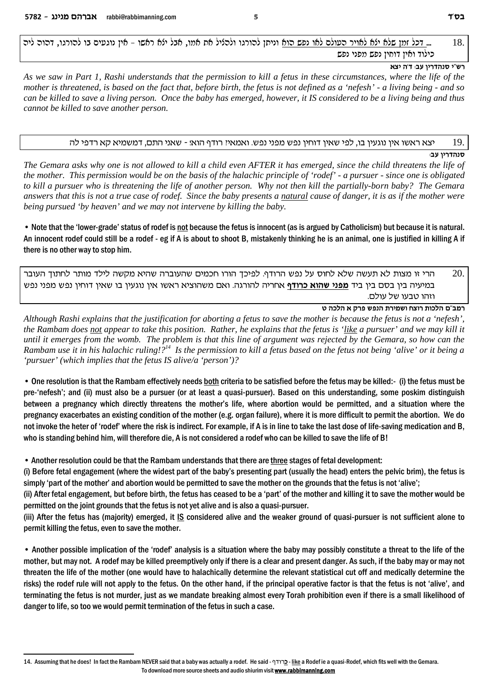בל זמן שלא ילא לאויר העולם לאו נפש הוא וניתן להורגו ולהליל את אמו, אבל ילא ראשו – אין נוגעים בו להורגו, דהוה ליה ...  $\,$ כילוד ואיז דוחיז נפש מפני נפש

#### **רש"י סנהדריו עב: ד'ה יצא**

*As we saw in Part 1, Rashi understands that the permission to kill a fetus in these circumstances, where the life of the mother is threatened, is based on the fact that, before birth, the fetus is not defined as a 'nefesh' - a living being - and so can be killed to save a living person. Once the baby has emerged, however, it IS considered to be a living being and thus cannot be killed to save another person.*

#### $\epsilon$ פא ראשו אין נוגעין בו, לפי שאין דוחין נפש מפני נפש. ואמאיז רודף הואז - שאני התם, דמשמיא קא רדפי לה  $\epsilon$

**:סנהדריו עב** 

*The Gemara asks why one is not allowed to kill a child even AFTER it has emerged, since the child threatens the life of the mother. This permission would be on the basis of the halachic principle of 'rodef' - a pursuer - since one is obligated to kill a pursuer who is threatening the life of another person. Why not then kill the partially-born baby? The Gemara answers that this is not a true case of rodef. Since the baby presents a natural cause of danger, it is as if the mother were being pursued 'by heaven' and we may not intervene by killing the baby.* 

• Note that the 'lower-grade' status of rodef is not because the fetus is innocent (as is argued by Catholicism) but because it is natural. An innocent rodef could still be a rodef - eg if A is about to shoot B, mistakenly thinking he is an animal, one is justified in killing A if there is no other way to stop him.

הרי זו מצות לא תעשה שלא לחוס על נפש הרודף. לפיכך הורו חכמים שהעוברה שהיא מקשה לילד מותר לחתוך העובר  $\,$ במיעיה בין בסם בין ביד <u>מפני שהוא כרודף</u> אחריה להורגה. ואם משהוציא ראשו אין נוגעין בו שאין דוחין נפש מפני נפש וזהו טבעו של עולם.

#### **h dkld ` wxt ytpd zxinye gvex zekld m"anx**

*Although Rashi explains that the justification for aborting a fetus to save the mother is because the fetus is not a 'nefesh', the Rambam does not appear to take this position. Rather, he explains that the fetus is 'like a pursuer' and we may kill it until it emerges from the womb. The problem is that this line of argument was rejected by the Gemara, so how can the Rambam use it in his halachic ruling!?<sup>14</sup> Is the permission to kill a fetus based on the fetus not being 'alive' or it being a 'pursuer' (which implies that the fetus IS alive/a 'person')?* 

• One resolution is that the Rambam effectively needs both criteria to be satisfied before the fetus may be killed:- (i) the fetus must be pre-'nefesh'; and (ii) must also be a pursuer (or at least a quasi-pursuer). Based on this understanding, some poskim distinguish between a pregnancy which directly threatens the mother's life, where abortion would be permitted, and a situation where the pregnancy exacerbates an existing condition of the mother (e.g. organ failure), where it is more difficult to permit the abortion. We do not invoke the heter of 'rodef' where the risk is indirect. For example, if A is in line to take the last dose of life-saving medication and B, who is standing behind him, will therefore die, A is not considered a rodef who can be killed to save the life of B!

• Another resolution could be that the Rambam understands that there are three stages of fetal development:

(i) Before fetal engagement (where the widest part of the baby's presenting part (usually the head) enters the pelvic brim), the fetus is simply 'part of the mother' and abortion would be permitted to save the mother on the grounds that the fetus is not 'alive';

(ii) After fetal engagement, but before birth, the fetus has ceased to be a 'part' of the mother and killing it to save the mother would be permitted on the joint grounds that the fetus is not yet alive and is also a quasi-pursuer.

(iii) After the fetus has (majority) emerged, it IS considered alive and the weaker ground of quasi-pursuer is not sufficient alone to permit killing the fetus, even to save the mother.

• Another possible implication of the 'rodef' analysis is a situation where the baby may possibly constitute a threat to the life of the mother, but may not. A rodef may be killed preemptively only if there is a clear and present danger. As such, if the baby may or may not threaten the life of the mother (one would have to halachically determine the relevant statistical cut off and medically determine the risks) the rodef rule will not apply to the fetus. On the other hand, if the principal operative factor is that the fetus is not 'alive', and terminating the fetus is not murder, just as we mandate breaking almost every Torah prohibition even if there is a small likelihood of danger to life, so too we would permit termination of the fetus in such a case.

14. Assuming that he does! In fact the Rambam NEVER said that a baby was actually a rodef. He said - scex**k** - like a Rodef ie a quasi-Rodef, which fits well with the Gemara. To download more source sheets and audio shiurim visit **www.rabbimanning.com**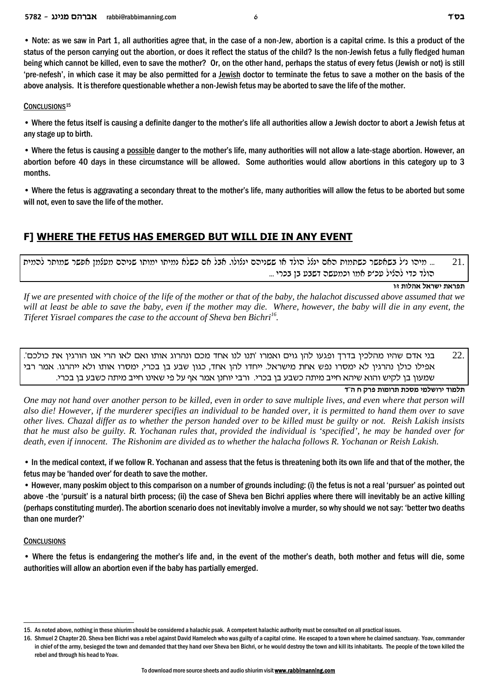• Note: as we saw in Part 1, all authorities agree that, in the case of a non-Jew, abortion is a capital crime. Is this a product of the status of the person carrying out the abortion, or does it reflect the status of the child? Is the non-Jewish fetus a fully fledged human being which cannot be killed, even to save the mother? Or, on the other hand, perhaps the status of every fetus (Jewish or not) is still 'pre-nefesh', in which case it may be also permitted for a lewish doctor to terminate the fetus to save a mother on the basis of the above analysis. It is therefore questionable whether a non-Jewish fetus may be aborted to save the life of the mother.

#### CONCLUSIONS<sup>15</sup>

• Where the fetus itself is causing a definite danger to the mother's life all authorities allow a Jewish doctor to abort a Jewish fetus at any stage up to birth.

• Where the fetus is causing a possible danger to the mother's life, many authorities will not allow a late-stage abortion. However, an abortion before 40 days in these circumstance will be allowed. Some authorities would allow abortions in this category up to 3 months.

• Where the fetus is aggravating a secondary threat to the mother's life, many authorities will allow the fetus to be aborted but some will not, even to save the life of the mother.

### F] WHERE THE FETUS HAS EMERGED BUT WILL DIE IN ANY EVENT

... מיהו נ׳ל בשאפשר כשתמות האם ינלל הולד או ששניהם ינלולו. אבל אם כשלא נמיתו ימותו שניהם מעלמן אפשר שמותר להמית 21. הולד כדי להליל עכ׳פ אמו וכמעשה דשבע בן בכרי ...

תפראת ישראל אהלות זו

If we are presented with choice of the life of the mother or that of the baby, the halachot discussed above assumed that we will at least be able to save the baby, even if the mother may die. Where, however, the baby will die in any event, the Tiferet Yisrael compares the case to the account of Sheva ben Bichri<sup>16</sup>.

 $22$ בני אדם שהיו מהלכיו בדרד ופגעו להו גוים ואמרו 'תנו לנו אחד מכם ונהרוג אותו ואם לאו הרי אנו הורגיו את כולכם'. אפילו כולן נהרגין לא ימסרו נפש אחת מישראל. ייחדו להן אחד, כגון שבע בן בכרי, ימסרו אותו ולא ייהרגו. אמר רבי שמעון בן לקיש והוא שיהא חייב מיתה כשבע בן בכרי. ורבי יוחנן אמר אף על פי שאינו חייב מיתה כשבע בן בכרי.

תלמוד ירושלמי מסכת תרומות פרק ח ה"ד

One may not hand over another person to be killed, even in order to save multiple lives, and even where that person will also die! However, if the murderer specifies an individual to be handed over, it is permitted to hand them over to save other lives. Chazal differ as to whether the person handed over to be killed must be guilty or not. Reish Lakish insists that he must also be guilty. R. Yochanan rules that, provided the individual is 'specified', he may be handed over for death, even if innocent. The Rishonim are divided as to whether the halacha follows R. Yochanan or Reish Lakish.

• In the medical context, if we follow R. Yochanan and assess that the fetus is threatening both its own life and that of the mother, the fetus may be 'handed over' for death to save the mother.

• However, many poskim object to this comparison on a number of grounds including: (i) the fetus is not a real 'pursuer' as pointed out above -the 'pursuit' is a natural birth process; (ii) the case of Sheva ben Bichri applies where there will inevitably be an active killing (perhaps constituting murder). The abortion scenario does not inevitably involve a murder, so why should we not say: 'better two deaths than one murder?'

#### **CONCLUSIONS**

• Where the fetus is endangering the mother's life and, in the event of the mother's death, both mother and fetus will die, some authorities will allow an abortion even if the baby has partially emerged.

<sup>15.</sup> As noted above, nothing in these shiurim should be considered a halachic psak. A competent halachic authority must be consulted on all practical issues.

<sup>16.</sup> Shmuel 2 Chapter 20. Sheva ben Bichri was a rebel against David Hamelech who was guilty of a capital crime. He escaped to a town where he claimed sanctuary. Yoav, commander in chief of the army, besieged the town and demanded that they hand over Sheva ben Bichri, or he would destroy the town and kill its inhabitants. The people of the town killed the rebel and through his head to Yoav.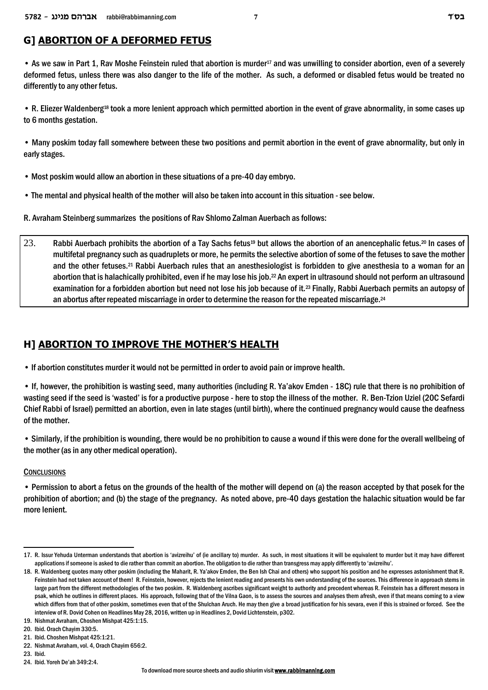### **G] ABORTION OF A DEFORMED FETUS**

• As we saw in Part 1, Rav Moshe Feinstein ruled that abortion is murder<sup>17</sup> and was unwilling to consider abortion, even of a severely deformed fetus, unless there was also danger to the life of the mother. As such, a deformed or disabled fetus would be treated no differently to any other fetus.

• R. Eliezer Waldenberg<sup>18</sup> took a more lenient approach which permitted abortion in the event of grave abnormality, in some cases up to 6 months gestation.

• Many poskim today fall somewhere between these two positions and permit abortion in the event of grave abnormality, but only in early stages.

- Most poskim would allow an abortion in these situations of a pre-40 day embryo.
- The mental and physical health of the mother will also be taken into account in this situation see below.
- R. Avraham Steinberg summarizes the positions of Rav Shlomo Zalman Auerbach as follows:
- 23. Rabbi Auerbach prohibits the abortion of a Tay Sachs fetus<sup>19</sup> but allows the abortion of an anencephalic fetus.<sup>20</sup> In cases of multifetal pregnancy such as quadruplets or more, he permits the selective abortion of some of the fetuses to save the mother and the other fetuses.21 Rabbi Auerbach rules that an anesthesiologist is forbidden to give anesthesia to a woman for an abortion that is halachically prohibited, even if he may lose his job.<sup>22</sup> An expert in ultrasound should not perform an ultrasound examination for a forbidden abortion but need not lose his job because of it.23 Finally, Rabbi Auerbach permits an autopsy of an abortus after repeated miscarriage in order to determine the reason for the repeated miscarriage.<sup>24</sup>

### **H] ABORTION TO IMPROVE THE MOTHER'S HEALTH**

• If abortion constitutes murder it would not be permitted in order to avoid pain or improve health.

• If, however, the prohibition is wasting seed, many authorities (including R. Ya'akov Emden - 18C) rule that there is no prohibition of wasting seed if the seed is 'wasted' is for a productive purpose - here to stop the illness of the mother. R. Ben-Tzion Uziel (20C Sefardi Chief Rabbi of Israel) permitted an abortion, even in late stages (until birth), where the continued pregnancy would cause the deafness of the mother.

• Similarly, if the prohibition is wounding, there would be no prohibition to cause a wound if this were done for the overall wellbeing of the mother (as in any other medical operation).

#### **CONCLUSIONS**

• Permission to abort a fetus on the grounds of the health of the mother will depend on (a) the reason accepted by that posek for the prohibition of abortion; and (b) the stage of the pregnancy. As noted above, pre-40 days gestation the halachic situation would be far more lenient.

<sup>17.</sup> R. Issur Yehuda Unterman understands that abortion is 'avizreihu' of (ie ancillary to) murder. As such, in most situations it will be equivalent to murder but it may have different applications if someone is asked to die rather than commit an abortion. The obligation to die rather than transgress may apply differently to 'avizreihu'.

<sup>18.</sup> R. Waldenberg quotes many other poskim (including the Maharit, R. Ya'akov Emden, the Ben Ish Chai and others) who support his position and he expresses astonishment that R. Feinstein had not taken account of them! R. Feinstein, however, rejects the lenient reading and presents his own understanding of the sources. This difference in approach stems in large part from the different methodologies of the two poskim. R. Waldenberg ascribes significant weight to authority and precedent whereas R. Feinstein has a different mesora in psak, which he outlines in different places. His approach, following that of the Vilna Gaon, is to assess the sources and analyses them afresh, even if that means coming to a view which differs from that of other poskim, sometimes even that of the Shulchan Aruch. He may then give a broad justification for his sevara, even if this is strained or forced. See the interview of R. Dovid Cohen on Headlines May 28, 2016, written up in Headlines 2, Dovid Lichtenstein, p302.

<sup>19.</sup> Nishmat Avraham, Choshen Mishpat 425:1:15.

<sup>20.</sup> Ibid. Orach Chayim 330:5.

<sup>21.</sup> Ibid. Choshen Mishpat 425:1:21.

<sup>22.</sup> Nishmat Avraham, vol. 4, Orach Chayim 656:2.

<sup>23.</sup> Ibid.

<sup>24.</sup> Ibid. Yoreh De'ah 349:2:4.